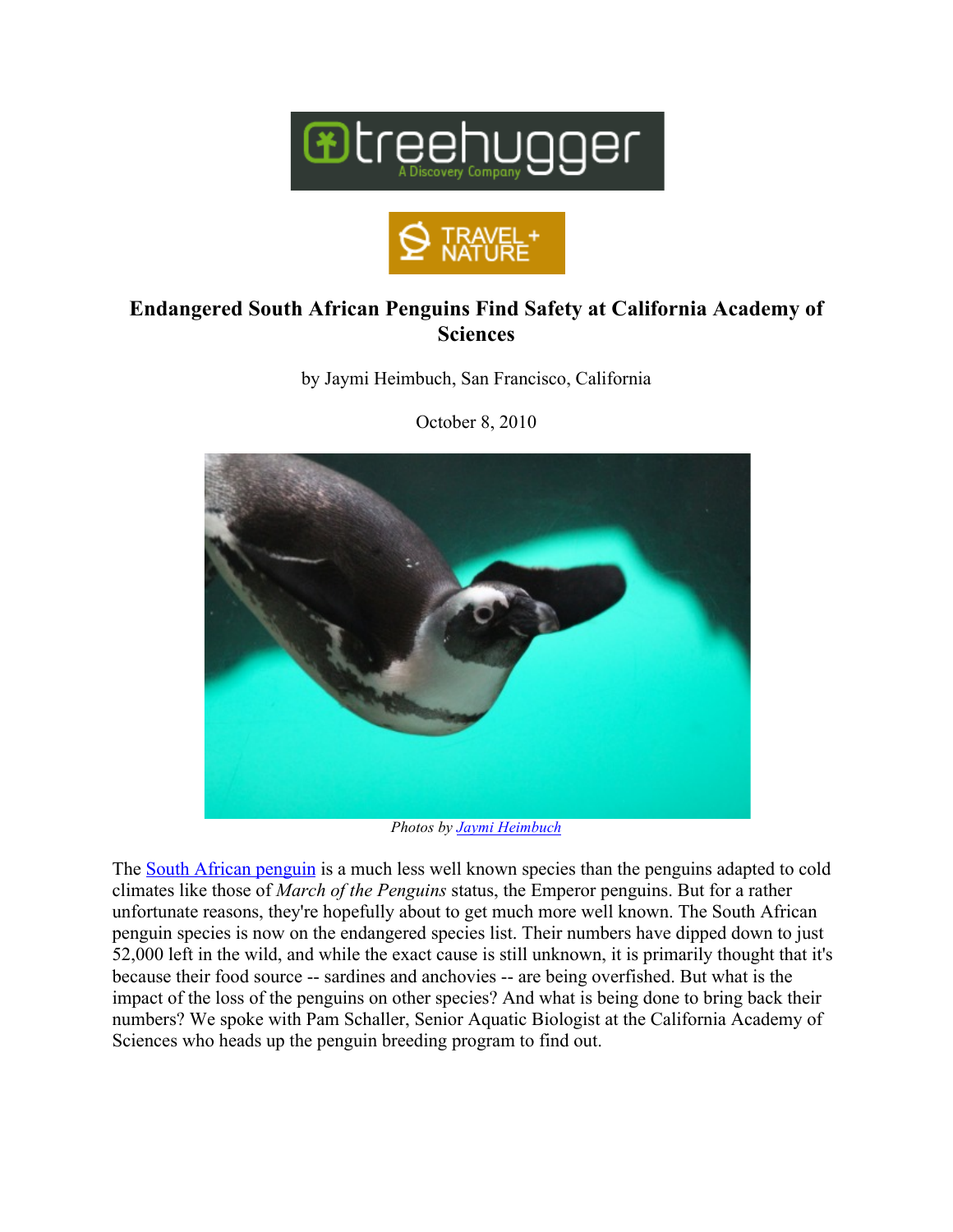



## **Endangered South African Penguins Find Safety at California Academy of Sciences**

by Jaymi Heimbuch, San Francisco, California



October 8, 2010

*Photos by Jaymi Heimbuch*

The South African penguin is a much less well known species than the penguins adapted to cold climates like those of *March of the Penguins* status, the Emperor penguins. But for a rather unfortunate reasons, they're hopefully about to get much more well known. The South African penguin species is now on the endangered species list. Their numbers have dipped down to just 52,000 left in the wild, and while the exact cause is still unknown, it is primarily thought that it's because their food source -- sardines and anchovies -- are being overfished. But what is the impact of the loss of the penguins on other species? And what is being done to bring back their numbers? We spoke with Pam Schaller, Senior Aquatic Biologist at the California Academy of Sciences who heads up the penguin breeding program to find out.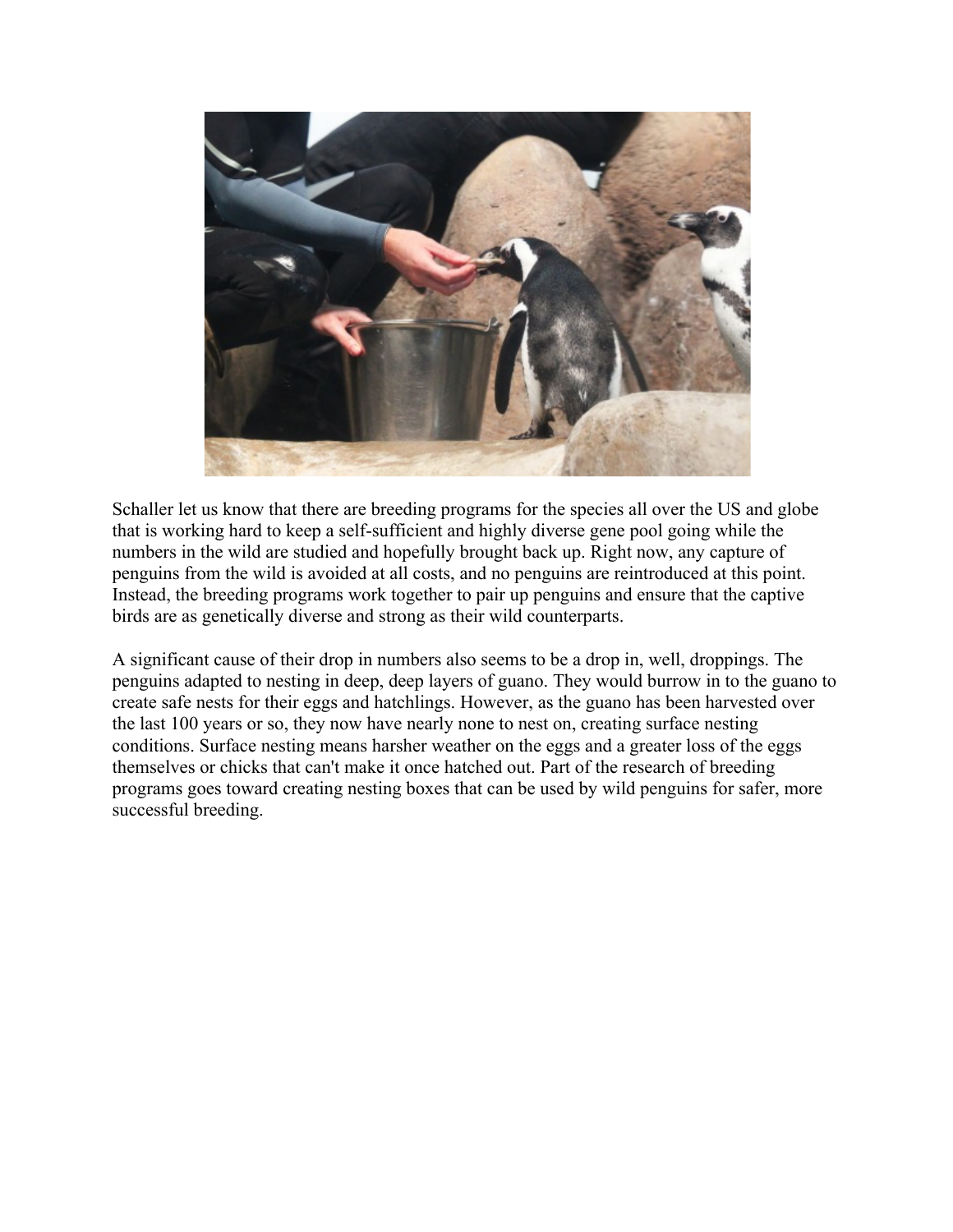

Schaller let us know that there are breeding programs for the species all over the US and globe that is working hard to keep a self-sufficient and highly diverse gene pool going while the numbers in the wild are studied and hopefully brought back up. Right now, any capture of penguins from the wild is avoided at all costs, and no penguins are reintroduced at this point. Instead, the breeding programs work together to pair up penguins and ensure that the captive birds are as genetically diverse and strong as their wild counterparts.

A significant cause of their drop in numbers also seems to be a drop in, well, droppings. The penguins adapted to nesting in deep, deep layers of guano. They would burrow in to the guano to create safe nests for their eggs and hatchlings. However, as the guano has been harvested over the last 100 years or so, they now have nearly none to nest on, creating surface nesting conditions. Surface nesting means harsher weather on the eggs and a greater loss of the eggs themselves or chicks that can't make it once hatched out. Part of the research of breeding programs goes toward creating nesting boxes that can be used by wild penguins for safer, more successful breeding.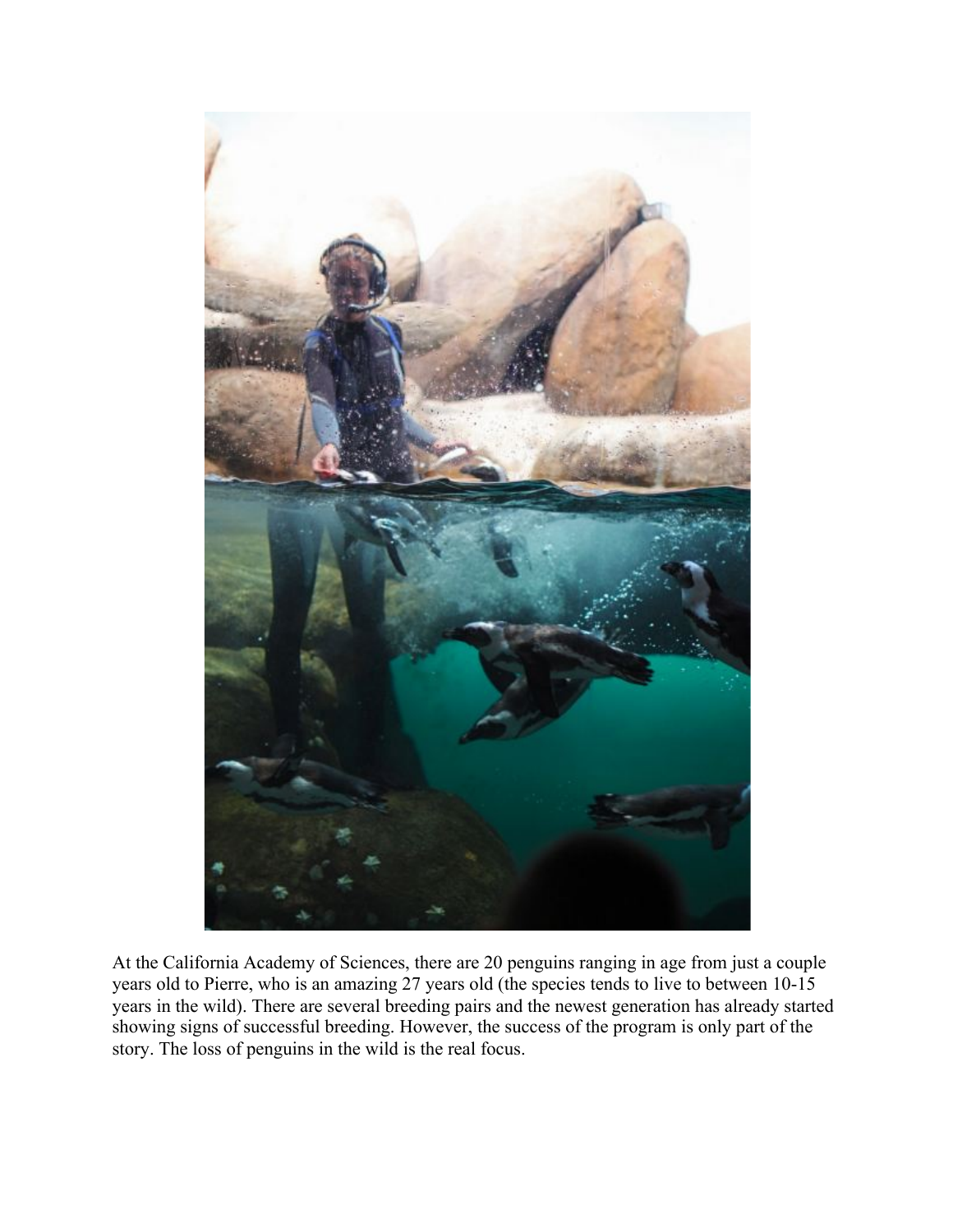

At the California Academy of Sciences, there are 20 penguins ranging in age from just a couple years old to Pierre, who is an amazing 27 years old (the species tends to live to between 10-15 years in the wild). There are several breeding pairs and the newest generation has already started showing signs of successful breeding. However, the success of the program is only part of the story. The loss of penguins in the wild is the real focus.